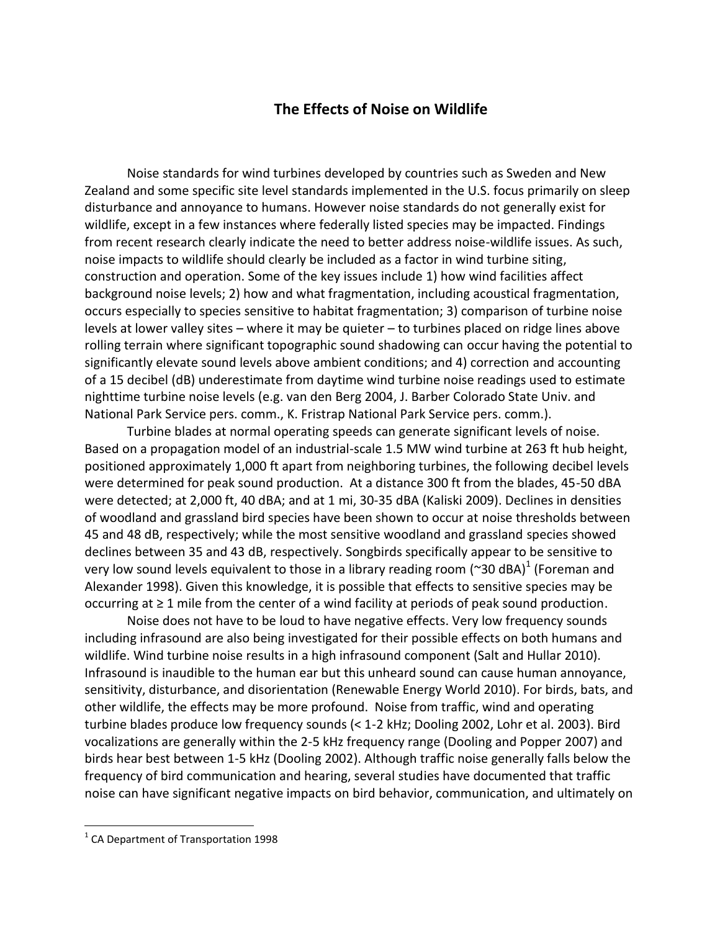## **The Effects of Noise on Wildlife**

Noise standards for wind turbines developed by countries such as Sweden and New Zealand and some specific site level standards implemented in the U.S. focus primarily on sleep disturbance and annoyance to humans. However noise standards do not generally exist for wildlife, except in a few instances where federally listed species may be impacted. Findings from recent research clearly indicate the need to better address noise-wildlife issues. As such, noise impacts to wildlife should clearly be included as a factor in wind turbine siting, construction and operation. Some of the key issues include 1) how wind facilities affect background noise levels; 2) how and what fragmentation, including acoustical fragmentation, occurs especially to species sensitive to habitat fragmentation; 3) comparison of turbine noise levels at lower valley sites – where it may be quieter – to turbines placed on ridge lines above rolling terrain where significant topographic sound shadowing can occur having the potential to significantly elevate sound levels above ambient conditions; and 4) correction and accounting of a 15 decibel (dB) underestimate from daytime wind turbine noise readings used to estimate nighttime turbine noise levels (e.g. van den Berg 2004, J. Barber Colorado State Univ. and National Park Service pers. comm., K. Fristrap National Park Service pers. comm.).

Turbine blades at normal operating speeds can generate significant levels of noise. Based on a propagation model of an industrial-scale 1.5 MW wind turbine at 263 ft hub height, positioned approximately 1,000 ft apart from neighboring turbines, the following decibel levels were determined for peak sound production. At a distance 300 ft from the blades, 45-50 dBA were detected; at 2,000 ft, 40 dBA; and at 1 mi, 30-35 dBA (Kaliski 2009). Declines in densities of woodland and grassland bird species have been shown to occur at noise thresholds between 45 and 48 dB, respectively; while the most sensitive woodland and grassland species showed declines between 35 and 43 dB, respectively. Songbirds specifically appear to be sensitive to very low sound levels equivalent to those in a library reading room (~30 dBA)<sup>1</sup> (Foreman and Alexander 1998). Given this knowledge, it is possible that effects to sensitive species may be occurring at ≥ 1 mile from the center of a wind facility at periods of peak sound production.

Noise does not have to be loud to have negative effects. Very low frequency sounds including infrasound are also being investigated for their possible effects on both humans and wildlife. Wind turbine noise results in a high infrasound component (Salt and Hullar 2010). Infrasound is inaudible to the human ear but this unheard sound can cause human annoyance, sensitivity, disturbance, and disorientation (Renewable Energy World 2010). For birds, bats, and other wildlife, the effects may be more profound. Noise from traffic, wind and operating turbine blades produce low frequency sounds (< 1-2 kHz; Dooling 2002, Lohr et al. 2003). Bird vocalizations are generally within the 2-5 kHz frequency range (Dooling and Popper 2007) and birds hear best between 1-5 kHz (Dooling 2002). Although traffic noise generally falls below the frequency of bird communication and hearing, several studies have documented that traffic noise can have significant negative impacts on bird behavior, communication, and ultimately on

 $\overline{\phantom{a}}$ 

 $<sup>1</sup>$  CA Department of Transportation 1998</sup>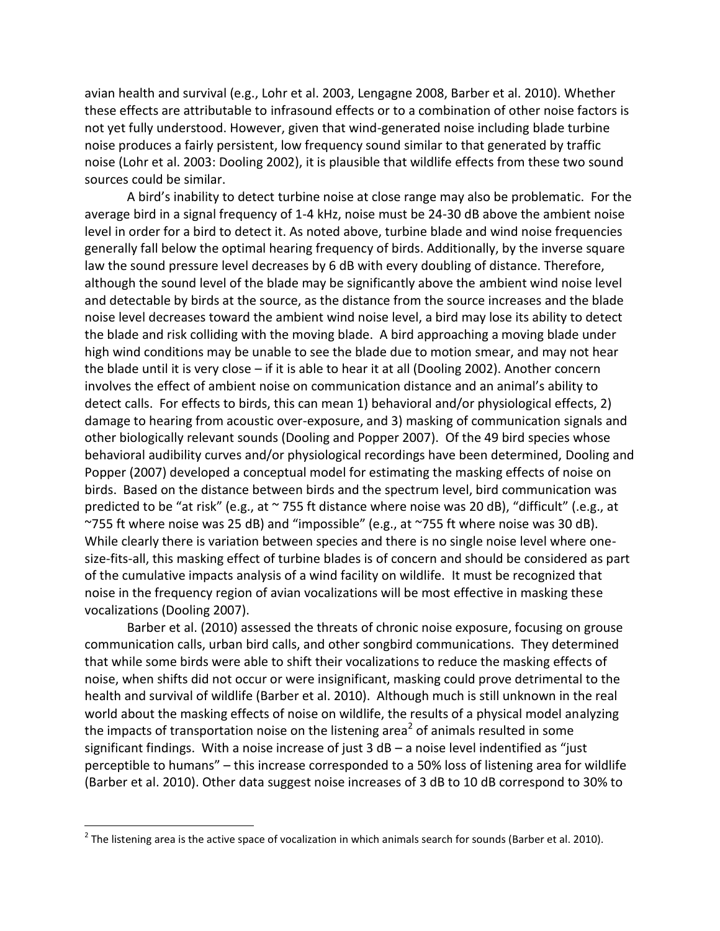avian health and survival (e.g., Lohr et al. 2003, Lengagne 2008, Barber et al. 2010). Whether these effects are attributable to infrasound effects or to a combination of other noise factors is not yet fully understood. However, given that wind-generated noise including blade turbine noise produces a fairly persistent, low frequency sound similar to that generated by traffic noise (Lohr et al. 2003: Dooling 2002), it is plausible that wildlife effects from these two sound sources could be similar.

A bird's inability to detect turbine noise at close range may also be problematic. For the average bird in a signal frequency of 1-4 kHz, noise must be 24-30 dB above the ambient noise level in order for a bird to detect it. As noted above, turbine blade and wind noise frequencies generally fall below the optimal hearing frequency of birds. Additionally, by the inverse square law the sound pressure level decreases by 6 dB with every doubling of distance. Therefore, although the sound level of the blade may be significantly above the ambient wind noise level and detectable by birds at the source, as the distance from the source increases and the blade noise level decreases toward the ambient wind noise level, a bird may lose its ability to detect the blade and risk colliding with the moving blade. A bird approaching a moving blade under high wind conditions may be unable to see the blade due to motion smear, and may not hear the blade until it is very close – if it is able to hear it at all (Dooling 2002). Another concern involves the effect of ambient noise on communication distance and an animal's ability to detect calls. For effects to birds, this can mean 1) behavioral and/or physiological effects, 2) damage to hearing from acoustic over-exposure, and 3) masking of communication signals and other biologically relevant sounds (Dooling and Popper 2007). Of the 49 bird species whose behavioral audibility curves and/or physiological recordings have been determined, Dooling and Popper (2007) developed a conceptual model for estimating the masking effects of noise on birds. Based on the distance between birds and the spectrum level, bird communication was predicted to be "at risk" (e.g., at ~ 755 ft distance where noise was 20 dB), "difficult" (.e.g., at ~755 ft where noise was 25 dB) and "impossible" (e.g., at ~755 ft where noise was 30 dB). While clearly there is variation between species and there is no single noise level where onesize-fits-all, this masking effect of turbine blades is of concern and should be considered as part of the cumulative impacts analysis of a wind facility on wildlife. It must be recognized that noise in the frequency region of avian vocalizations will be most effective in masking these vocalizations (Dooling 2007).

Barber et al. (2010) assessed the threats of chronic noise exposure, focusing on grouse communication calls, urban bird calls, and other songbird communications. They determined that while some birds were able to shift their vocalizations to reduce the masking effects of noise, when shifts did not occur or were insignificant, masking could prove detrimental to the health and survival of wildlife (Barber et al. 2010). Although much is still unknown in the real world about the masking effects of noise on wildlife, the results of a physical model analyzing the impacts of transportation noise on the listening area<sup>2</sup> of animals resulted in some significant findings. With a noise increase of just 3 dB – a noise level indentified as "just perceptible to humans" – this increase corresponded to a 50% loss of listening area for wildlife (Barber et al. 2010). Other data suggest noise increases of 3 dB to 10 dB correspond to 30% to

 $\overline{\phantom{a}}$ 

 $^2$  The listening area is the active space of vocalization in which animals search for sounds (Barber et al. 2010).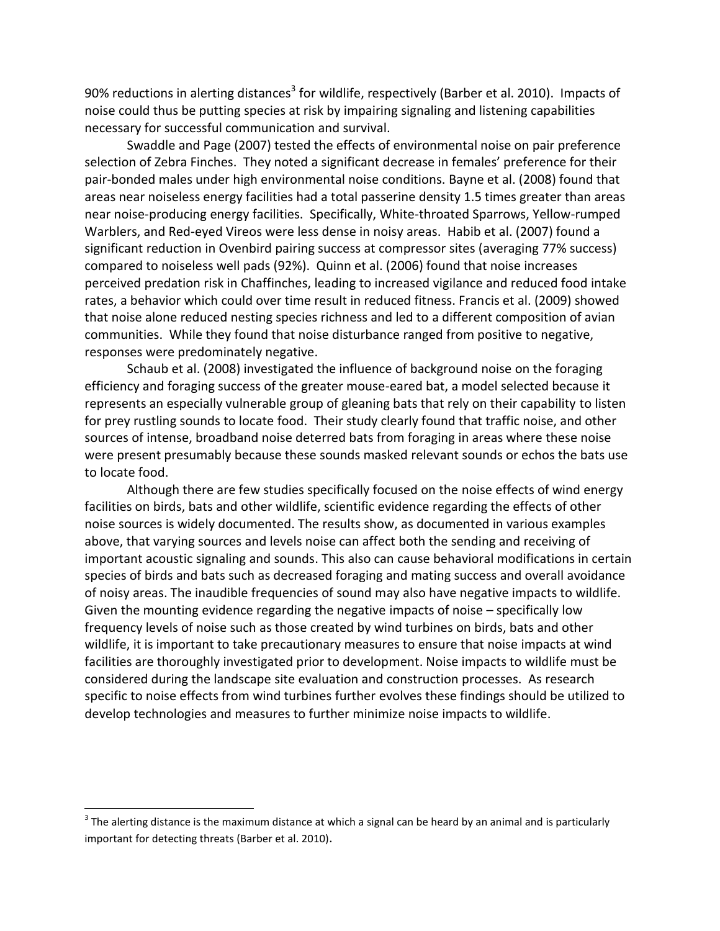90% reductions in alerting distances<sup>3</sup> for wildlife, respectively (Barber et al. 2010). Impacts of noise could thus be putting species at risk by impairing signaling and listening capabilities necessary for successful communication and survival.

Swaddle and Page (2007) tested the effects of environmental noise on pair preference selection of Zebra Finches. They noted a significant decrease in females' preference for their pair-bonded males under high environmental noise conditions. Bayne et al. (2008) found that areas near noiseless energy facilities had a total passerine density 1.5 times greater than areas near noise-producing energy facilities. Specifically, White-throated Sparrows, Yellow-rumped Warblers, and Red-eyed Vireos were less dense in noisy areas. Habib et al. (2007) found a significant reduction in Ovenbird pairing success at compressor sites (averaging 77% success) compared to noiseless well pads (92%). Quinn et al. (2006) found that noise increases perceived predation risk in Chaffinches, leading to increased vigilance and reduced food intake rates, a behavior which could over time result in reduced fitness. Francis et al. (2009) showed that noise alone reduced nesting species richness and led to a different composition of avian communities. While they found that noise disturbance ranged from positive to negative, responses were predominately negative.

Schaub et al. (2008) investigated the influence of background noise on the foraging efficiency and foraging success of the greater mouse-eared bat, a model selected because it represents an especially vulnerable group of gleaning bats that rely on their capability to listen for prey rustling sounds to locate food. Their study clearly found that traffic noise, and other sources of intense, broadband noise deterred bats from foraging in areas where these noise were present presumably because these sounds masked relevant sounds or echos the bats use to locate food.

Although there are few studies specifically focused on the noise effects of wind energy facilities on birds, bats and other wildlife, scientific evidence regarding the effects of other noise sources is widely documented. The results show, as documented in various examples above, that varying sources and levels noise can affect both the sending and receiving of important acoustic signaling and sounds. This also can cause behavioral modifications in certain species of birds and bats such as decreased foraging and mating success and overall avoidance of noisy areas. The inaudible frequencies of sound may also have negative impacts to wildlife. Given the mounting evidence regarding the negative impacts of noise – specifically low frequency levels of noise such as those created by wind turbines on birds, bats and other wildlife, it is important to take precautionary measures to ensure that noise impacts at wind facilities are thoroughly investigated prior to development. Noise impacts to wildlife must be considered during the landscape site evaluation and construction processes. As research specific to noise effects from wind turbines further evolves these findings should be utilized to develop technologies and measures to further minimize noise impacts to wildlife.

 $\overline{\phantom{a}}$ 

 $^3$  The alerting distance is the maximum distance at which a signal can be heard by an animal and is particularly important for detecting threats (Barber et al. 2010).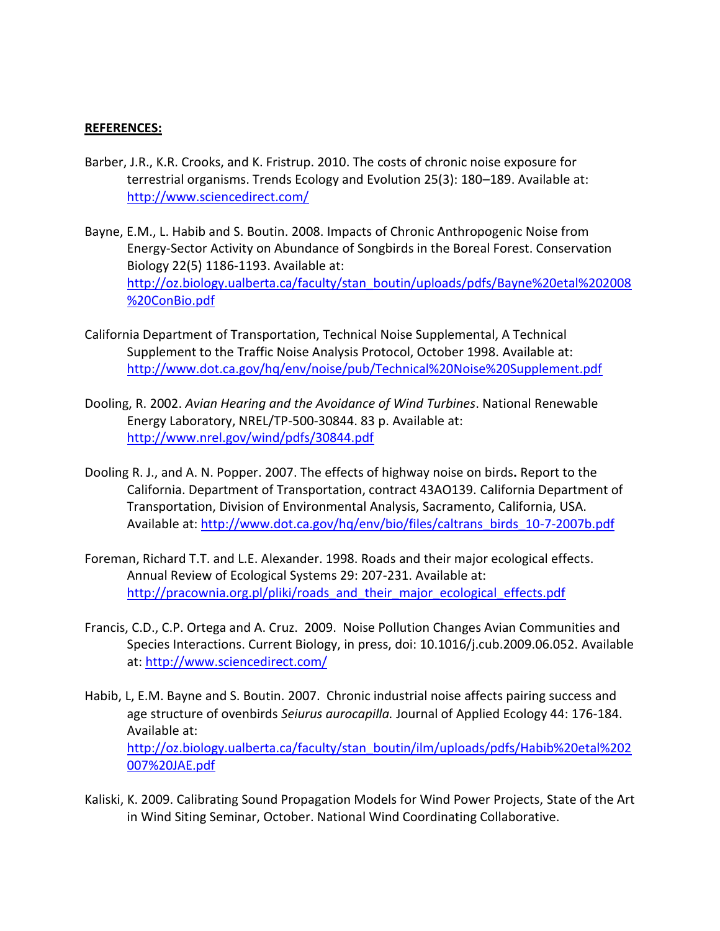## **REFERENCES:**

- Barber, J.R., K.R. Crooks, and K. Fristrup. 2010. The costs of chronic noise exposure for terrestrial organisms. Trends Ecology and Evolution 25(3): 180–189. Available at: <http://www.sciencedirect.com/>
- Bayne, E.M., L. Habib and S. Boutin. 2008. Impacts of Chronic Anthropogenic Noise from Energy-Sector Activity on Abundance of Songbirds in the Boreal Forest. Conservation Biology 22(5) 1186-1193. Available at: [http://oz.biology.ualberta.ca/faculty/stan\\_boutin/uploads/pdfs/Bayne%20etal%202008](http://oz.biology.ualberta.ca/faculty/stan_boutin/uploads/pdfs/Bayne%20etal%202008%20ConBio.pdf) [%20ConBio.pdf](http://oz.biology.ualberta.ca/faculty/stan_boutin/uploads/pdfs/Bayne%20etal%202008%20ConBio.pdf)
- California Department of Transportation, Technical Noise Supplemental, A Technical Supplement to the Traffic Noise Analysis Protocol, October 1998. Available at: <http://www.dot.ca.gov/hq/env/noise/pub/Technical%20Noise%20Supplement.pdf>
- Dooling, R. 2002. *Avian Hearing and the Avoidance of Wind Turbines*. National Renewable Energy Laboratory, NREL/TP-500-30844. 83 p. Available at: <http://www.nrel.gov/wind/pdfs/30844.pdf>
- Dooling R. J., and A. N. Popper. 2007. The effects of highway noise on birds**.** Report to the California. Department of Transportation, contract 43AO139. California Department of Transportation, Division of Environmental Analysis, Sacramento, California, USA. Available at: [http://www.dot.ca.gov/hq/env/bio/files/caltrans\\_birds\\_10-7-2007b.pdf](http://www.dot.ca.gov/hq/env/bio/files/caltrans_birds_10-7-2007b.pdf)
- Foreman, Richard T.T. and L.E. Alexander. 1998. Roads and their major ecological effects. Annual Review of Ecological Systems 29: 207-231. Available at: [http://pracownia.org.pl/pliki/roads\\_and\\_their\\_major\\_ecological\\_effects.pdf](http://pracownia.org.pl/pliki/roads_and_their_major_ecological_effects.pdf)
- Francis, C.D., C.P. Ortega and A. Cruz. 2009. Noise Pollution Changes Avian Communities and Species Interactions. Current Biology, in press, doi: 10.1016/j.cub.2009.06.052. Available at[: http://www.sciencedirect.com/](http://www.sciencedirect.com/)
- Habib, L, E.M. Bayne and S. Boutin. 2007. Chronic industrial noise affects pairing success and age structure of ovenbirds *Seiurus aurocapilla.* Journal of Applied Ecology 44: 176-184. Available at: [http://oz.biology.ualberta.ca/faculty/stan\\_boutin/ilm/uploads/pdfs/Habib%20etal%202](http://oz.biology.ualberta.ca/faculty/stan_boutin/ilm/uploads/pdfs/Habib%20etal%202007%20JAE.pdf) [007%20JAE.pdf](http://oz.biology.ualberta.ca/faculty/stan_boutin/ilm/uploads/pdfs/Habib%20etal%202007%20JAE.pdf)
- Kaliski, K. 2009. Calibrating Sound Propagation Models for Wind Power Projects, State of the Art in Wind Siting Seminar, October. National Wind Coordinating Collaborative.